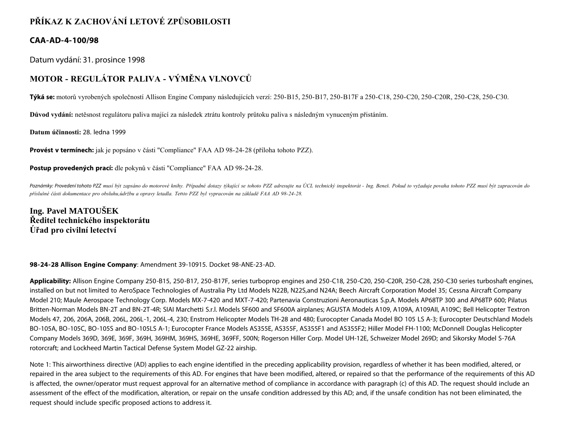## **PŘÍKAZ K ZACHOVÁNÍ LETOVÉ ZPŮSOBILOSTI**

## **CAA-AD-4-100/98**

Datum vydání: 31. prosince 1998

## **MOTOR - REGULÁTOR PALIVA - VÝMĚNA VLNOVCŮ**

**Týká se:** motorů vyrobených společností Allison Engine Company následujících verzí: 250-B15, 250-B17, 250-B17F a 250-C18, 250-C20, 250-C20R, 250-C28, 250-C30.

**Důvod vydání:** netěsnost regulátoru paliva mající za následek ztrátu kontroly průtoku paliva s následným vynuceným přistáním.

**Datum účinnosti:** 28. ledna 1999

**Provést v termínech:** jak je popsáno v části "Compliance" FAA AD 98-24-28 (příloha tohoto PZZ).

**Postup provedených prací:** dle pokynů v části "Compliance" FAA AD 98-24-28.

Poznámky: Provedení tohoto PZZ musí být zapsáno do motorové knihy. Případné dotazy týkající se tohoto PZZ adresujte na ÚCL technický inspektorát - Ing. Beneš. Pokud to vyžaduje povaha tohoto PZZ musí být zapracován do *příslušné části dokumentace pro obsluhu,údržbu a opravy letadla. Tento PZZ byl vypracován na základě FAA AD 98-24-28.*

**Ing. Pavel MATOUŠEK Ředitel technického inspektorátu Úřad pro civilní letectví**

## **98-24-28 Allison Engine Company**: Amendment 39-10915. Docket 98-ANE-23-AD.

**Applicability:** Allison Engine Company 250-B15, 250-B17, 250-B17F, series turboprop engines and 250-C18, 250-C20, 250-C20R, 250-C28, 250-C30 series turboshaft engines, installed on but not limited to AeroSpace Technologies of Australia Pty Ltd Models N22B, N22S,and N24A; Beech Aircraft Corporation Model 35; Cessna Aircraft Company Model 210; Maule Aerospace Technology Corp. Models MX-7-420 and MXT-7-420; Partenavia Construzioni Aeronauticas S.p.A. Models AP68TP 300 and AP68TP 600; Pilatus Britten-Norman Models BN-2T and BN-2T-4R; SIAI Marchetti S.r.l. Models SF600 and SF600A airplanes; AGUSTA Models A109, A109A, A109AII, A109C; Bell Helicopter Textron Models 47, 206, 206A, 206B, 206L, 206L-1, 206L-4, 230; Enstrom Helicopter Models TH-28 and 480; Eurocopter Canada Model BO 105 LS A-3; Eurocopter Deutschland Models BO-105A, BO-105C, BO-105S and BO-105LS A-1; Eurocopter France Models AS355E, AS355F, AS355F1 and AS355F2; Hiller Model FH-1100; McDonnell Douglas Helicopter Company Models 369D, 369E, 369F, 369H, 369HM, 369HS, 369HE, 369FF, 500N; Rogerson Hiller Corp. Model UH-12E, Schweizer Model 269D; and Sikorsky Model S-76A rotorcraft; and Lockheed Martin Tactical Defense System Model GZ-22 airship.

Note 1: This airworthiness directive (AD) applies to each engine identified in the preceding applicability provision, regardless of whether it has been modified, altered, or repaired in the area subject to the requirements of this AD. For engines that have been modified, altered, or repaired so that the performance of the requirements of this AD is affected, the owner/operator must request approval for an alternative method of compliance in accordance with paragraph (c) of this AD. The request should include an assessment of the effect of the modification, alteration, or repair on the unsafe condition addressed by this AD; and, if the unsafe condition has not been eliminated, the request should include specific proposed actions to address it.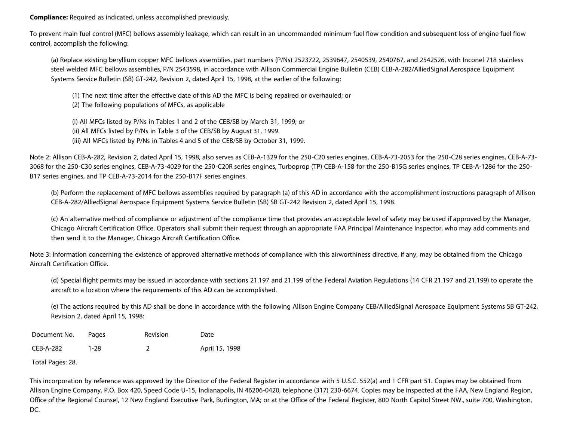**Compliance:** Required as indicated, unless accomplished previously.

To prevent main fuel control (MFC) bellows assembly leakage, which can result in an uncommanded minimum fuel flow condition and subsequent loss of engine fuel flow control, accomplish the following:

(a) Replace existing beryllium copper MFC bellows assemblies, part numbers (P/Ns) 2523722, 2539647, 2540539, 2540767, and 2542526, with Inconel 718 stainless steel welded MFC bellows assemblies, P/N 2543598, in accordance with Allison Commercial Engine Bulletin (CEB) CEB-A-282/AlliedSignal Aerospace Equipment Systems Service Bulletin (SB) GT-242, Revision 2, dated April 15, 1998, at the earlier of the following:

(1) The next time after the effective date of this AD the MFC is being repaired or overhauled; or (2) The following populations of MFCs, as applicable

(i) All MFCs listed by P/Ns in Tables 1 and 2 of the CEB/SB by March 31, 1999; or (ii) All MFCs listed by P/Ns in Table 3 of the CEB/SB by August 31, 1999. (iii) All MFCs listed by P/Ns in Tables 4 and 5 of the CEB/SB by October 31, 1999.

Note 2: Allison CEB-A-282, Revision 2, dated April 15, 1998, also serves as CEB-A-1329 for the 250-C20 series engines, CEB-A-73-2053 for the 250-C28 series engines, CEB-A-73- 3068 for the 250-C30 series engines, CEB-A-73-4029 for the 250-C20R series engines, Turboprop (TP) CEB-A-158 for the 250-B15G series engines, TP CEB-A-1286 for the 250- B17 series engines, and TP CEB-A-73-2014 for the 250-B17F series engines.

(b) Perform the replacement of MFC bellows assemblies required by paragraph (a) of this AD in accordance with the accomplishment instructions paragraph of Allison CEB-A-282/AlliedSignal Aerospace Equipment Systems Service Bulletin (SB) SB GT-242 Revision 2, dated April 15, 1998.

(c) An alternative method of compliance or adjustment of the compliance time that provides an acceptable level of safety may be used if approved by the Manager, Chicago Aircraft Certification Office. Operators shall submit their request through an appropriate FAA Principal Maintenance Inspector, who may add comments and then send it to the Manager, Chicago Aircraft Certification Office.

Note 3: Information concerning the existence of approved alternative methods of compliance with this airworthiness directive, if any, may be obtained from the Chicago Aircraft Certification Office.

(d) Special flight permits may be issued in accordance with sections 21.197 and 21.199 of the Federal Aviation Regulations (14 CFR 21.197 and 21.199) to operate the aircraft to a location where the requirements of this AD can be accomplished.

(e) The actions required by this AD shall be done in accordance with the following Allison Engine Company CEB/AlliedSignal Aerospace Equipment Systems SB GT-242, Revision 2, dated April 15, 1998:

| Document No. | Pages | <b>Revision</b> | Date           |
|--------------|-------|-----------------|----------------|
| CEB-A-282    | 1-28  |                 | April 15, 1998 |

Total Pages: 28.

This incorporation by reference was approved by the Director of the Federal Register in accordance with 5 U.S.C. 552(a) and 1 CFR part 51. Copies may be obtained from Allison Engine Company, P.O. Box 420, Speed Code U-15, Indianapolis, IN 46206-0420, telephone (317) 230-6674. Copies may be inspected at the FAA, New England Region, Office of the Regional Counsel, 12 New England Executive Park, Burlington, MA; or at the Office of the Federal Register, 800 North Capitol Street NW., suite 700, Washington, DC.